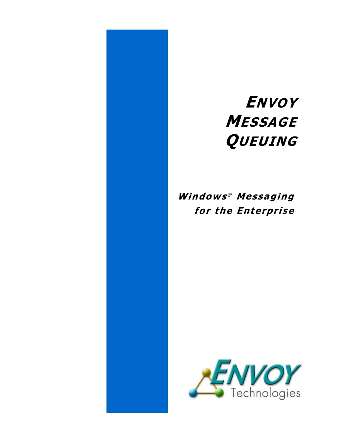# ENVOY **MESSAGE QUEUING**

# Windows® Messaging for the Enterprise

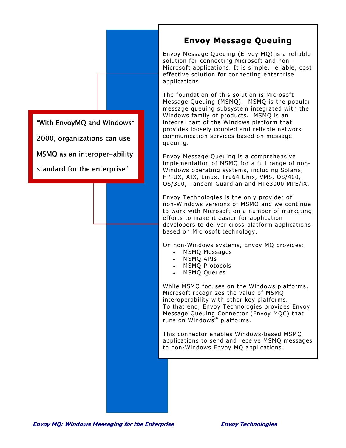## **Envoy Message Queuing**

Envoy Message Queuing (Envoy MQ) is a reliable solution for connecting Microsoft and non-Microsoft applications. It is simple, reliable, cost effective solution for connecting enterprise applications.

The foundation of this solution is Microsoft Message Queuing (MSMQ). MSMQ is the popular message queuing subsystem integrated with the Windows family of products. MSMQ is an integral part of the Windows platform that provides loosely coupled and reliable network communication services based on message queuing.

Envoy Message Queuing is a comprehensive implementation of MSMQ for a full range of non-Windows operating systems, including Solaris, HP-UX, AIX, Linux, Tru64 Unix, VMS, OS/400, OS/390, Tandem Guardian and HPe3000 MPE/iX.

Envoy Technologies is the only provider of non-Windows versions of MSMQ and we continue to work with Microsoft on a number of marketing efforts to make it easier for application developers to deliver cross-platform applications based on Microsoft technology.

On non-Windows systems, Envoy MQ provides:

- MSMQ Messages
- MSMQ APIs
- MSMQ Protocols
- MSMQ Queues

While MSMQ focuses on the Windows platforms, Microsoft recognizes the value of MSMQ interoperability with other key platforms. To that end, Envoy Technologies provides Envoy Message Queuing Connector (Envoy MQC) that runs on Windows<sup>®</sup> platforms.

This connector enables Windows-based MSMQ applications to send and receive MSMQ messages to non-Windows Envoy MQ applications.

"With EnvoyMQ and Windows"

2000, organizations can use

MSMQ as an interoper-ability

standard for the enterprise"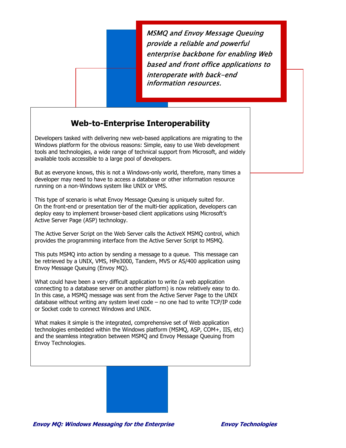MSMQ and Envoy Message Queuing provide a reliable and powerful enterprise backbone for enabling Web based and front office applications to interoperate with back-end information resources.

#### **Web-to-Enterprise Interoperability**

Developers tasked with delivering new web-based applications are migrating to the Windows platform for the obvious reasons: Simple, easy to use Web development tools and technologies, a wide range of technical support from Microsoft, and widely available tools accessible to a large pool of developers.

But as everyone knows, this is not a Windows-only world, therefore, many times a developer may need to have to access a database or other information resource running on a non-Windows system like UNIX or VMS.

This type of scenario is what Envoy Message Queuing is uniquely suited for. On the front-end or presentation tier of the multi-tier application, developers can deploy easy to implement browser-based client applications using Microsoft's Active Server Page (ASP) technology.

The Active Server Script on the Web Server calls the ActiveX MSMQ control, which provides the programming interface from the Active Server Script to MSMQ.

This puts MSMQ into action by sending a message to a queue. This message can be retrieved by a UNIX, VMS, HPe3000, Tandem, MVS or AS/400 application usin g Envoy Message Queuing (Envoy MQ).

What could have been a very difficult application to write (a web application connecting to a database server on another platform) is now relatively easy to do. In this case, a MSMQ message was sent from the Active Server Page to the UNIX database without writing any system level code – no one had to write TCP/IP code or Socket code to connect Windows and UNIX.

What makes it simple is the integrated, comprehensive set of Web application technologies embedded within the Windows platform (MSMQ, ASP, COM+, IIS, etc) and the seamless integration between MSMQ and Envoy Message Queuing from Envoy Technologies.

**Envoy MQ: Windows Messaging for the Enterprise Envoy Technologies**